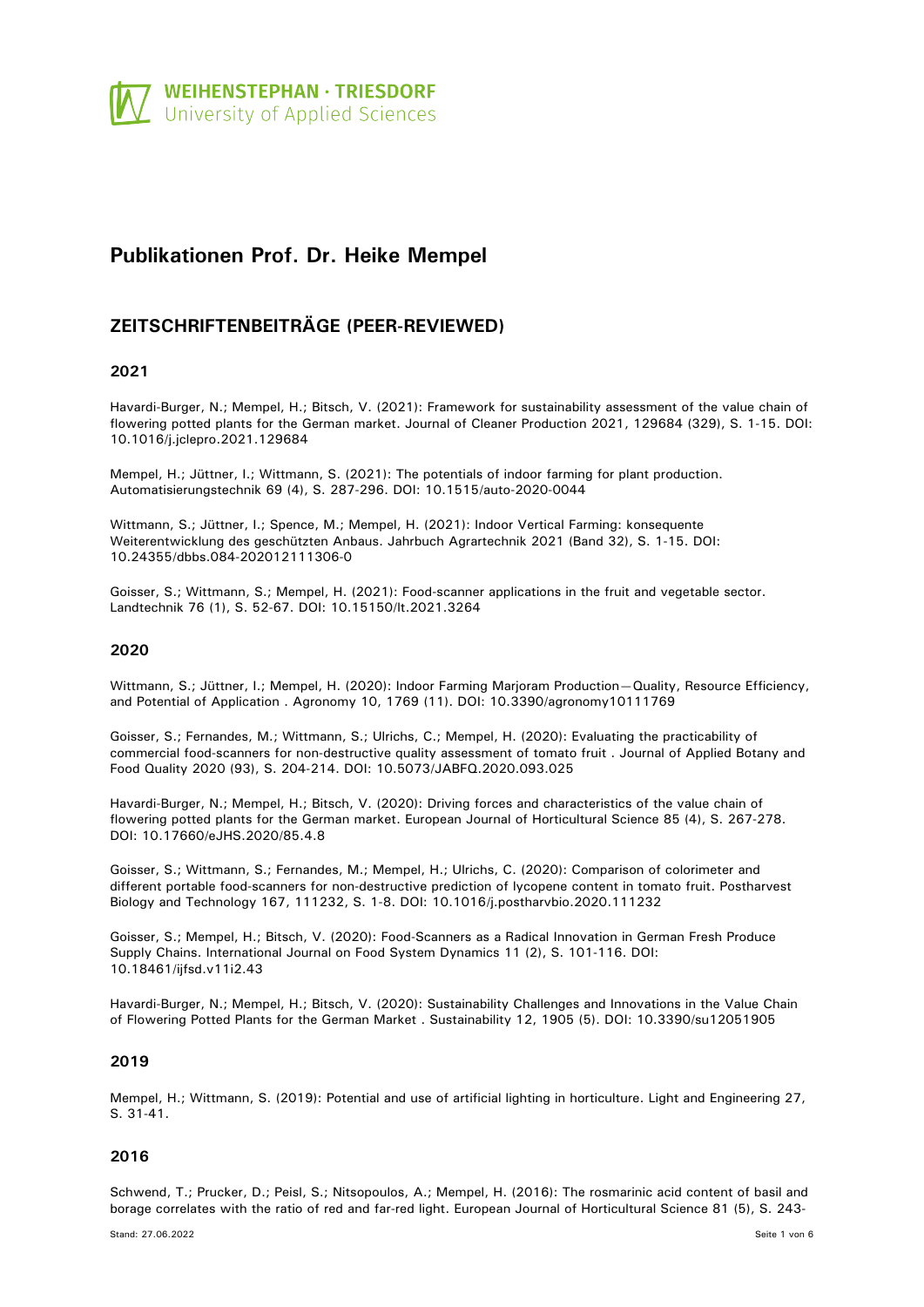

# **Publikationen Prof. Dr. Heike Mempel**

## **ZEITSCHRIFTENBEITRÄGE (PEER-REVIEWED)**

### **2021**

Havardi-Burger, N.; Mempel, H.; Bitsch, V. (2021): Framework for sustainability assessment of the value chain of flowering potted plants for the German market. Journal of Cleaner Production 2021, 129684 (329), S. 1-15. DOI: 10.1016/j.jclepro.2021.129684

Mempel, H.; Jüttner, I.; Wittmann, S. (2021): The potentials of indoor farming for plant production. Automatisierungstechnik 69 (4), S. 287-296. DOI: 10.1515/auto-2020-0044

Wittmann, S.; Jüttner, I.; Spence, M.; Mempel, H. (2021): Indoor Vertical Farming: konsequente Weiterentwicklung des geschützten Anbaus. Jahrbuch Agrartechnik 2021 (Band 32), S. 1-15. DOI: 10.24355/dbbs.084-202012111306-0

Goisser, S.; Wittmann, S.; Mempel, H. (2021): Food-scanner applications in the fruit and vegetable sector. Landtechnik 76 (1), S. 52-67. DOI: 10.15150/lt.2021.3264

### **2020**

Wittmann, S.; Jüttner, I.; Mempel, H. (2020): Indoor Farming Marjoram Production—Quality, Resource Efficiency, and Potential of Application . Agronomy 10, 1769 (11). DOI: 10.3390/agronomy10111769

Goisser, S.; Fernandes, M.; Wittmann, S.; Ulrichs, C.; Mempel, H. (2020): Evaluating the practicability of commercial food-scanners for non-destructive quality assessment of tomato fruit . Journal of Applied Botany and Food Quality 2020 (93), S. 204-214. DOI: 10.5073/JABFQ.2020.093.025

Havardi-Burger, N.; Mempel, H.; Bitsch, V. (2020): Driving forces and characteristics of the value chain of flowering potted plants for the German market. European Journal of Horticultural Science 85 (4), S. 267-278. DOI: 10.17660/eJHS.2020/85.4.8

Goisser, S.; Wittmann, S.; Fernandes, M.; Mempel, H.; Ulrichs, C. (2020): Comparison of colorimeter and different portable food-scanners for non-destructive prediction of lycopene content in tomato fruit. Postharvest Biology and Technology 167, 111232, S. 1-8. DOI: 10.1016/j.postharvbio.2020.111232

Goisser, S.; Mempel, H.; Bitsch, V. (2020): Food-Scanners as a Radical Innovation in German Fresh Produce Supply Chains. International Journal on Food System Dynamics 11 (2), S. 101-116. DOI: 10.18461/ijfsd.v11i2.43

Havardi-Burger, N.; Mempel, H.; Bitsch, V. (2020): Sustainability Challenges and Innovations in the Value Chain of Flowering Potted Plants for the German Market . Sustainability 12, 1905 (5). DOI: 10.3390/su12051905

### **2019**

Mempel, H.; Wittmann, S. (2019): Potential and use of artificial lighting in horticulture. Light and Engineering 27, S. 31-41.

### **2016**

Schwend, T.; Prucker, D.; Peisl, S.; Nitsopoulos, A.; Mempel, H. (2016): The rosmarinic acid content of basil and borage correlates with the ratio of red and far-red light. European Journal of Horticultural Science 81 (5), S. 243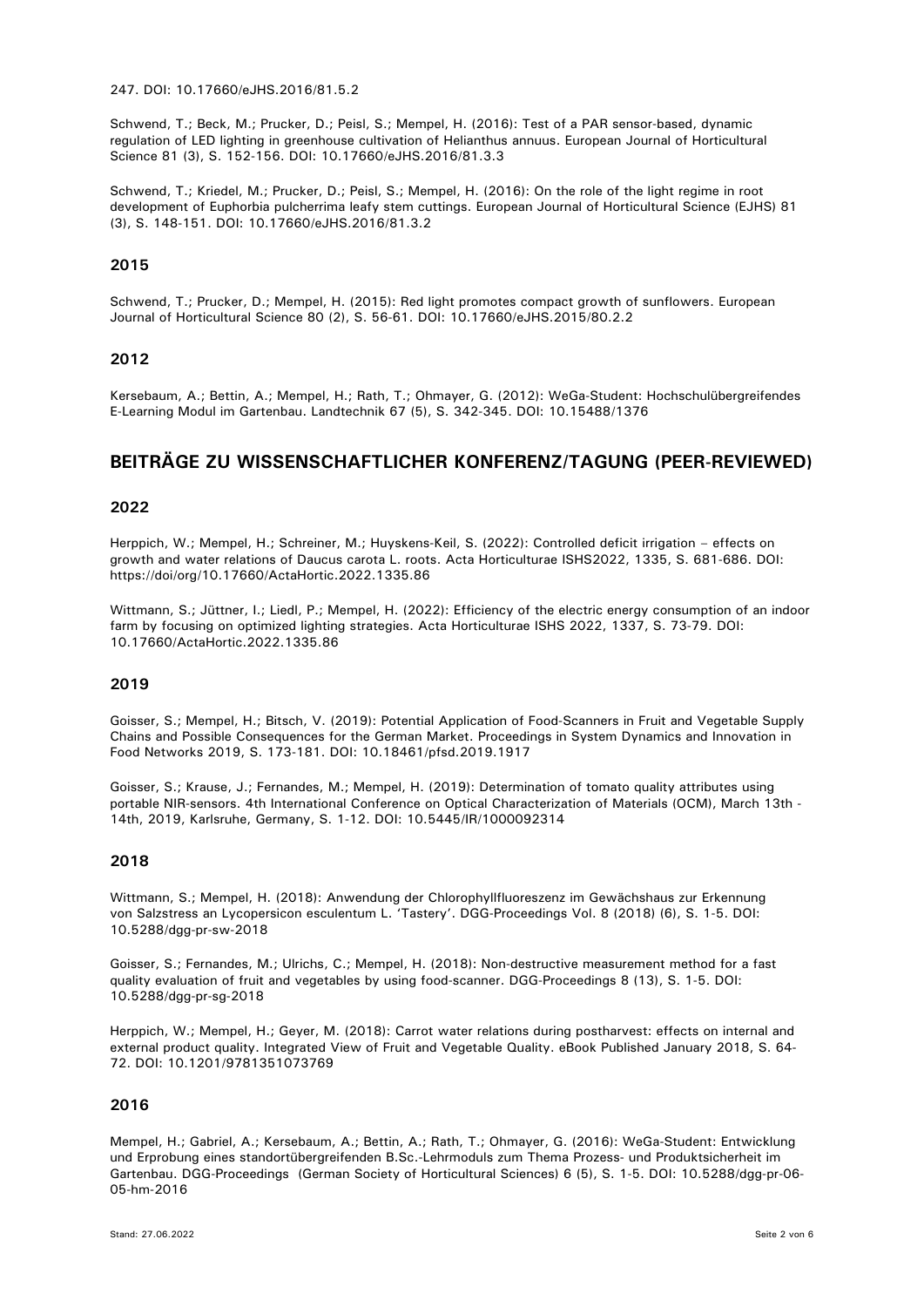247. DOI: 10.17660/eJHS.2016/81.5.2

Schwend, T.; Beck, M.; Prucker, D.; Peisl, S.; Mempel, H. (2016): Test of a PAR sensor-based, dynamic regulation of LED lighting in greenhouse cultivation of Helianthus annuus. European Journal of Horticultural Science 81 (3), S. 152-156. DOI: 10.17660/eJHS.2016/81.3.3

Schwend, T.; Kriedel, M.; Prucker, D.; Peisl, S.; Mempel, H. (2016): On the role of the light regime in root development of Euphorbia pulcherrima leafy stem cuttings. European Journal of Horticultural Science (EJHS) 81 (3), S. 148-151. DOI: 10.17660/eJHS.2016/81.3.2

### **2015**

Schwend, T.; Prucker, D.; Mempel, H. (2015): Red light promotes compact growth of sunflowers. European Journal of Horticultural Science 80 (2), S. 56-61. DOI: 10.17660/eJHS.2015/80.2.2

### **2012**

Kersebaum, A.; Bettin, A.; Mempel, H.; Rath, T.; Ohmayer, G. (2012): WeGa-Student: Hochschulübergreifendes E-Learning Modul im Gartenbau. Landtechnik 67 (5), S. 342-345. DOI: 10.15488/1376

## **BEITRÄGE ZU WISSENSCHAFTLICHER KONFERENZ/TAGUNG (PEER-REVIEWED)**

### **2022**

Herppich, W.; Mempel, H.; Schreiner, M.; Huyskens-Keil, S. (2022): Controlled deficit irrigation – effects on growth and water relations of Daucus carota L. roots. Acta Horticulturae ISHS2022, 1335, S. 681-686. DOI: https://doi/org/10.17660/ActaHortic.2022.1335.86

Wittmann, S.; Jüttner, I.; Liedl, P.; Mempel, H. (2022): Efficiency of the electric energy consumption of an indoor farm by focusing on optimized lighting strategies. Acta Horticulturae ISHS 2022, 1337, S. 73-79. DOI: 10.17660/ActaHortic.2022.1335.86

### **2019**

Goisser, S.; Mempel, H.; Bitsch, V. (2019): Potential Application of Food-Scanners in Fruit and Vegetable Supply Chains and Possible Consequences for the German Market. Proceedings in System Dynamics and Innovation in Food Networks 2019, S. 173-181. DOI: 10.18461/pfsd.2019.1917

Goisser, S.; Krause, J.; Fernandes, M.; Mempel, H. (2019): Determination of tomato quality attributes using portable NIR-sensors. 4th International Conference on Optical Characterization of Materials (OCM), March 13th - 14th, 2019, Karlsruhe, Germany, S. 1-12. DOI: 10.5445/IR/1000092314

### **2018**

Wittmann, S.; Mempel, H. (2018): Anwendung der Chlorophyllfluoreszenz im Gewächshaus zur Erkennung von Salzstress an Lycopersicon esculentum L. 'Tastery'. DGG-Proceedings Vol. 8 (2018) (6), S. 1-5. DOI: 10.5288/dgg-pr-sw-2018

Goisser, S.; Fernandes, M.; Ulrichs, C.; Mempel, H. (2018): Non-destructive measurement method for a fast quality evaluation of fruit and vegetables by using food-scanner. DGG-Proceedings 8 (13), S. 1-5. DOI: 10.5288/dgg-pr-sg-2018

Herppich, W.; Mempel, H.; Geyer, M. (2018): Carrot water relations during postharvest: effects on internal and external product quality. Integrated View of Fruit and Vegetable Quality. eBook Published January 2018, S. 64- 72. DOI: 10.1201/9781351073769

### **2016**

Mempel, H.; Gabriel, A.; Kersebaum, A.; Bettin, A.; Rath, T.; Ohmayer, G. (2016): WeGa-Student: Entwicklung und Erprobung eines standortübergreifenden B.Sc.-Lehrmoduls zum Thema Prozess- und Produktsicherheit im Gartenbau. DGG-Proceedings (German Society of Horticultural Sciences) 6 (5), S. 1-5. DOI: 10.5288/dgg-pr-06- 05-hm-2016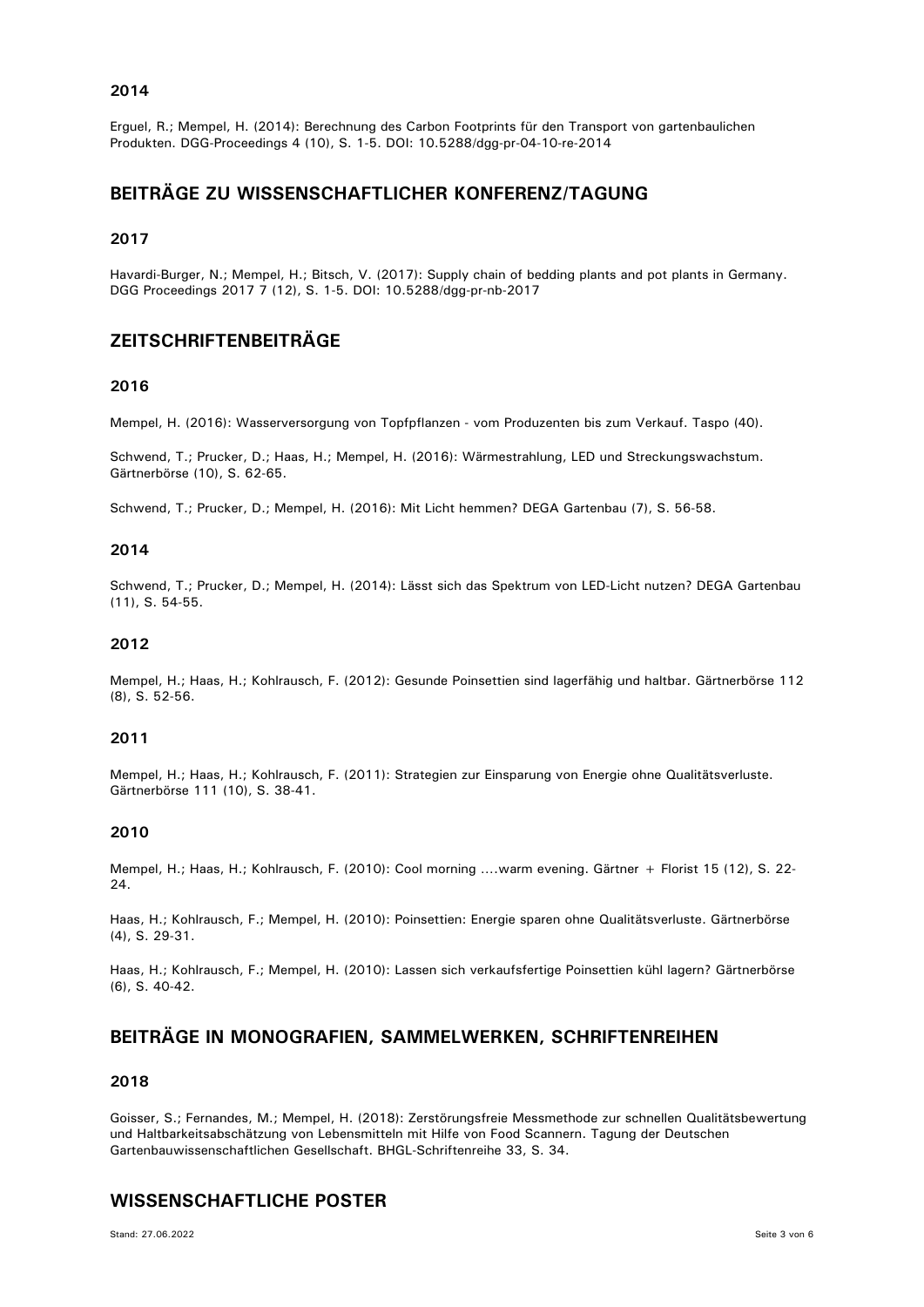### **2014**

Erguel, R.; Mempel, H. (2014): Berechnung des Carbon Footprints für den Transport von gartenbaulichen Produkten. DGG-Proceedings 4 (10), S. 1-5. DOI: 10.5288/dgg-pr-04-10-re-2014

## **BEITRÄGE ZU WISSENSCHAFTLICHER KONFERENZ/TAGUNG**

### **2017**

Havardi-Burger, N.; Mempel, H.; Bitsch, V. (2017): Supply chain of bedding plants and pot plants in Germany. DGG Proceedings 2017 7 (12), S. 1-5. DOI: 10.5288/dgg-pr-nb-2017

## **ZEITSCHRIFTENBEITRÄGE**

### **2016**

Mempel, H. (2016): Wasserversorgung von Topfpflanzen - vom Produzenten bis zum Verkauf. Taspo (40).

Schwend, T.; Prucker, D.; Haas, H.; Mempel, H. (2016): Wärmestrahlung, LED und Streckungswachstum. Gärtnerbörse (10), S. 62-65.

Schwend, T.; Prucker, D.; Mempel, H. (2016): Mit Licht hemmen? DEGA Gartenbau (7), S. 56-58.

#### **2014**

Schwend, T.; Prucker, D.; Mempel, H. (2014): Lässt sich das Spektrum von LED-Licht nutzen? DEGA Gartenbau (11), S. 54-55.

### **2012**

Mempel, H.; Haas, H.; Kohlrausch, F. (2012): Gesunde Poinsettien sind lagerfähig und haltbar. Gärtnerbörse 112 (8), S. 52-56.

### **2011**

Mempel, H.; Haas, H.; Kohlrausch, F. (2011): Strategien zur Einsparung von Energie ohne Qualitätsverluste. Gärtnerbörse 111 (10), S. 38-41.

### **2010**

Mempel, H.; Haas, H.; Kohlrausch, F. (2010): Cool morning ….warm evening. Gärtner + Florist 15 (12), S. 22- 24.

Haas, H.; Kohlrausch, F.; Mempel, H. (2010): Poinsettien: Energie sparen ohne Qualitätsverluste. Gärtnerbörse (4), S. 29-31.

Haas, H.; Kohlrausch, F.; Mempel, H. (2010): Lassen sich verkaufsfertige Poinsettien kühl lagern? Gärtnerbörse (6), S. 40-42.

### **BEITRÄGE IN MONOGRAFIEN, SAMMELWERKEN, SCHRIFTENREIHEN**

### **2018**

Goisser, S.; Fernandes, M.; Mempel, H. (2018): Zerstörungsfreie Messmethode zur schnellen Qualitätsbewertung und Haltbarkeitsabschätzung von Lebensmitteln mit Hilfe von Food Scannern. Tagung der Deutschen Gartenbauwissenschaftlichen Gesellschaft. BHGL-Schriftenreihe 33, S. 34.

### **WISSENSCHAFTLICHE POSTER**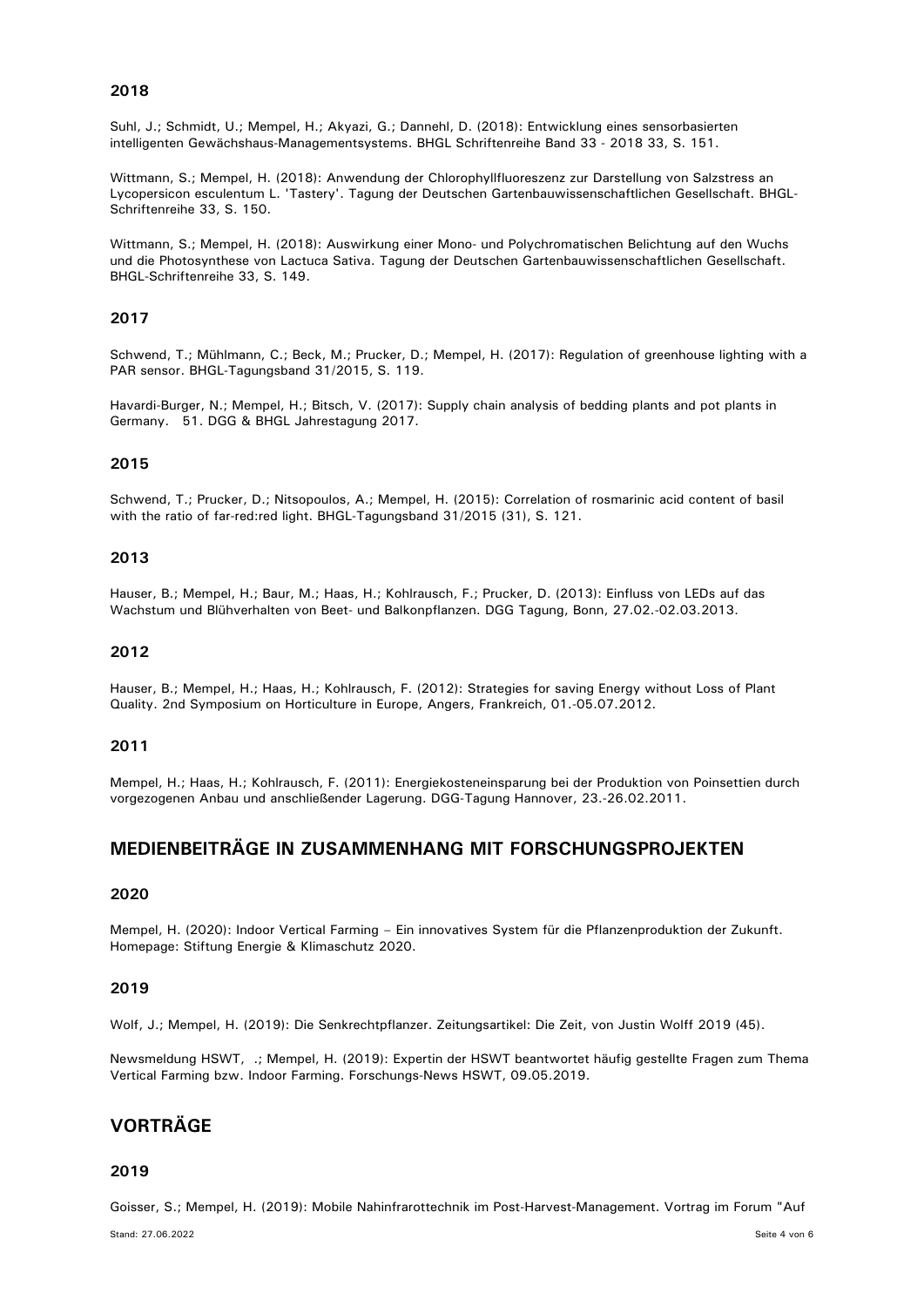### **2018**

Suhl, J.; Schmidt, U.; Mempel, H.; Akyazi, G.; Dannehl, D. (2018): Entwicklung eines sensorbasierten intelligenten Gewächshaus-Managementsystems. BHGL Schriftenreihe Band 33 - 2018 33, S. 151.

Wittmann, S.; Mempel, H. (2018): Anwendung der Chlorophyllfluoreszenz zur Darstellung von Salzstress an Lycopersicon esculentum L. 'Tastery'. Tagung der Deutschen Gartenbauwissenschaftlichen Gesellschaft. BHGL-Schriftenreihe 33, S. 150.

Wittmann, S.; Mempel, H. (2018): Auswirkung einer Mono- und Polychromatischen Belichtung auf den Wuchs und die Photosynthese von Lactuca Sativa. Tagung der Deutschen Gartenbauwissenschaftlichen Gesellschaft. BHGL-Schriftenreihe 33, S. 149.

### **2017**

Schwend, T.; Mühlmann, C.; Beck, M.; Prucker, D.; Mempel, H. (2017): Regulation of greenhouse lighting with a PAR sensor. BHGL-Tagungsband 31/2015, S. 119.

Havardi-Burger, N.; Mempel, H.; Bitsch, V. (2017): Supply chain analysis of bedding plants and pot plants in Germany. 51. DGG & BHGL Jahrestagung 2017.

### **2015**

Schwend, T.; Prucker, D.; Nitsopoulos, A.; Mempel, H. (2015): Correlation of rosmarinic acid content of basil with the ratio of far-red:red light. BHGL-Tagungsband 31/2015 (31), S. 121.

### **2013**

Hauser, B.; Mempel, H.; Baur, M.; Haas, H.; Kohlrausch, F.; Prucker, D. (2013): Einfluss von LEDs auf das Wachstum und Blühverhalten von Beet- und Balkonpflanzen. DGG Tagung, Bonn, 27.02.-02.03.2013.

### **2012**

Hauser, B.; Mempel, H.; Haas, H.; Kohlrausch, F. (2012): Strategies for saving Energy without Loss of Plant Quality. 2nd Symposium on Horticulture in Europe, Angers, Frankreich, 01.-05.07.2012.

### **2011**

Mempel, H.; Haas, H.; Kohlrausch, F. (2011): Energiekosteneinsparung bei der Produktion von Poinsettien durch vorgezogenen Anbau und anschließender Lagerung. DGG-Tagung Hannover, 23.-26.02.2011.

## **MEDIENBEITRÄGE IN ZUSAMMENHANG MIT FORSCHUNGSPROJEKTEN**

### **2020**

Mempel, H. (2020): Indoor Vertical Farming – Ein innovatives System für die Pflanzenproduktion der Zukunft. Homepage: Stiftung Energie & Klimaschutz 2020.

### **2019**

Wolf, J.; Mempel, H. (2019): Die Senkrechtpflanzer. Zeitungsartikel: Die Zeit, von Justin Wolff 2019 (45).

Newsmeldung HSWT, .; Mempel, H. (2019): Expertin der HSWT beantwortet häufig gestellte Fragen zum Thema Vertical Farming bzw. Indoor Farming. Forschungs-News HSWT, 09.05.2019.

## **VORTRÄGE**

### **2019**

Goisser, S.; Mempel, H. (2019): Mobile Nahinfrarottechnik im Post-Harvest-Management. Vortrag im Forum "Auf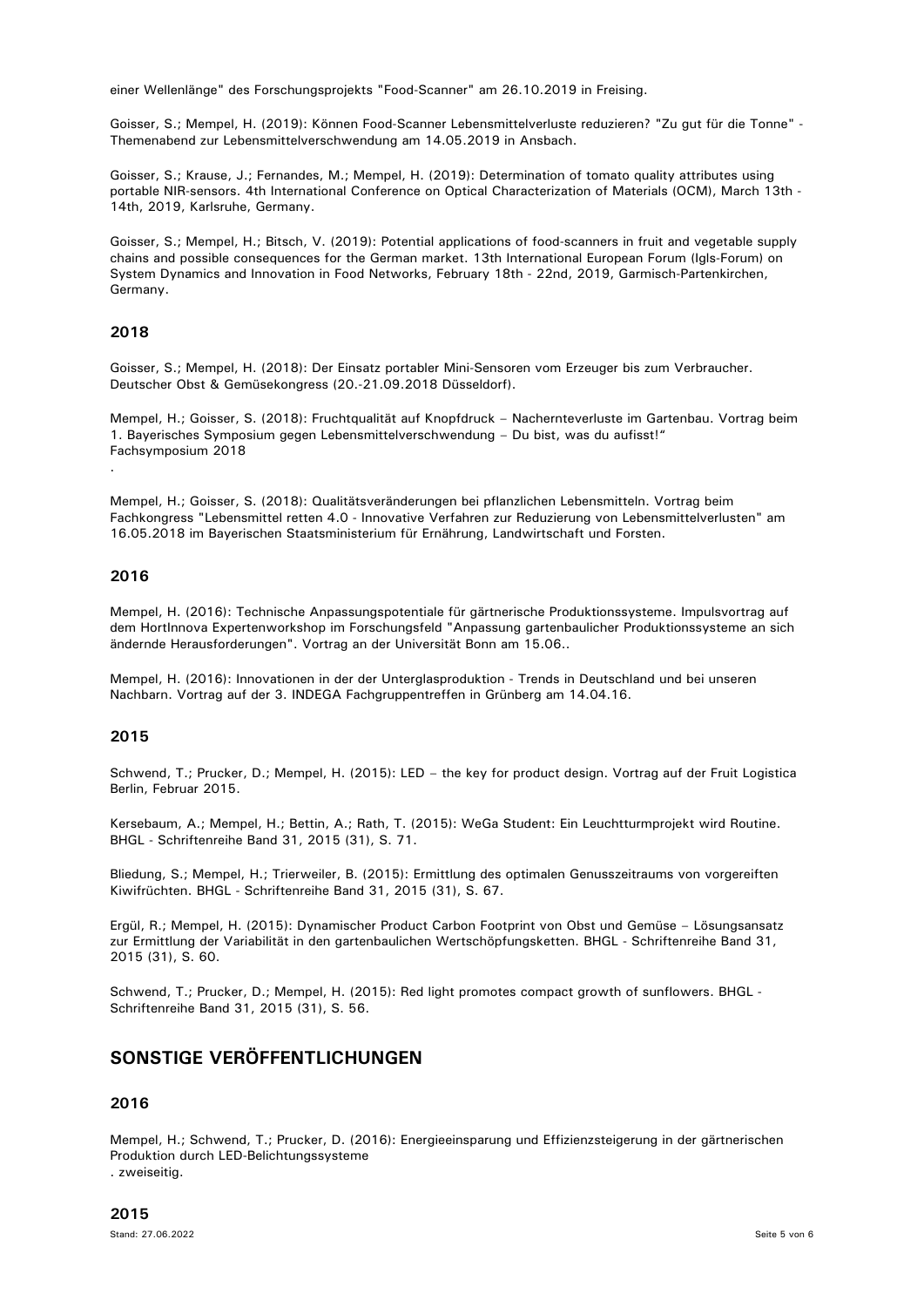einer Wellenlänge" des Forschungsprojekts "Food-Scanner" am 26.10.2019 in Freising.

Goisser, S.; Mempel, H. (2019): Können Food-Scanner Lebensmittelverluste reduzieren? "Zu gut für die Tonne" - Themenabend zur Lebensmittelverschwendung am 14.05.2019 in Ansbach.

Goisser, S.; Krause, J.; Fernandes, M.; Mempel, H. (2019): Determination of tomato quality attributes using portable NIR-sensors. 4th International Conference on Optical Characterization of Materials (OCM), March 13th - 14th, 2019, Karlsruhe, Germany.

Goisser, S.; Mempel, H.; Bitsch, V. (2019): Potential applications of food-scanners in fruit and vegetable supply chains and possible consequences for the German market. 13th International European Forum (Igls-Forum) on System Dynamics and Innovation in Food Networks, February 18th - 22nd, 2019, Garmisch-Partenkirchen, Germany.

### **2018**

Goisser, S.; Mempel, H. (2018): Der Einsatz portabler Mini-Sensoren vom Erzeuger bis zum Verbraucher. Deutscher Obst & Gemüsekongress (20.-21.09.2018 Düsseldorf).

Mempel, H.; Goisser, S. (2018): Fruchtqualität auf Knopfdruck – Nachernteverluste im Gartenbau. Vortrag beim 1. Bayerisches Symposium gegen Lebensmittelverschwendung – Du bist, was du aufisst!" Fachsymposium 2018 .

Mempel, H.; Goisser, S. (2018): Qualitätsveränderungen bei pflanzlichen Lebensmitteln. Vortrag beim Fachkongress "Lebensmittel retten 4.0 - Innovative Verfahren zur Reduzierung von Lebensmittelverlusten" am 16.05.2018 im Bayerischen Staatsministerium für Ernährung, Landwirtschaft und Forsten.

### **2016**

Mempel, H. (2016): Technische Anpassungspotentiale für gärtnerische Produktionssysteme. Impulsvortrag auf dem HortInnova Expertenworkshop im Forschungsfeld "Anpassung gartenbaulicher Produktionssysteme an sich ändernde Herausforderungen". Vortrag an der Universität Bonn am 15.06..

Mempel, H. (2016): Innovationen in der der Unterglasproduktion - Trends in Deutschland und bei unseren Nachbarn. Vortrag auf der 3. INDEGA Fachgruppentreffen in Grünberg am 14.04.16.

### **2015**

Schwend, T.; Prucker, D.; Mempel, H. (2015): LED – the key for product design. Vortrag auf der Fruit Logistica Berlin, Februar 2015.

Kersebaum, A.; Mempel, H.; Bettin, A.; Rath, T. (2015): WeGa Student: Ein Leuchtturmprojekt wird Routine. BHGL - Schriftenreihe Band 31, 2015 (31), S. 71.

Bliedung, S.; Mempel, H.; Trierweiler, B. (2015): Ermittlung des optimalen Genusszeitraums von vorgereiften Kiwifrüchten. BHGL - Schriftenreihe Band 31, 2015 (31), S. 67.

Ergül, R.; Mempel, H. (2015): Dynamischer Product Carbon Footprint von Obst und Gemüse – Lösungsansatz zur Ermittlung der Variabilität in den gartenbaulichen Wertschöpfungsketten. BHGL - Schriftenreihe Band 31, 2015 (31), S. 60.

Schwend, T.; Prucker, D.; Mempel, H. (2015): Red light promotes compact growth of sunflowers. BHGL - Schriftenreihe Band 31, 2015 (31), S. 56.

# **SONSTIGE VERÖFFENTLICHUNGEN**

### **2016**

Mempel, H.; Schwend, T.; Prucker, D. (2016): Energieeinsparung und Effizienzsteigerung in der gärtnerischen Produktion durch LED-Belichtungssysteme

. zweiseitig.